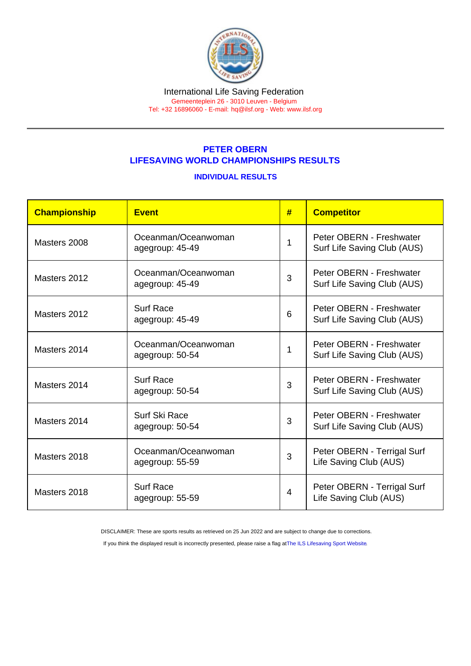#### International Life Saving Federation Gemeenteplein 26 - 3010 Leuven - Belgium

Tel: +32 16896060 - E-mail: [hq@ilsf.org](mailto:hq@ilsf.org) - Web: [www.ilsf.org](https://www.ilsf.org)

## PETER OBERN LIFESAVING WORLD CHAMPIONSHIPS RESULTS

### INDIVIDUAL RESULTS

| Championship | Event                                  | # | <b>Competitor</b>                                       |
|--------------|----------------------------------------|---|---------------------------------------------------------|
| Masters 2008 | Oceanman/Oceanwoman<br>agegroup: 45-49 |   | Peter OBERN - Freshwater<br>Surf Life Saving Club (AUS) |
| Masters 2012 | Oceanman/Oceanwoman<br>agegroup: 45-49 | 3 | Peter OBERN - Freshwater<br>Surf Life Saving Club (AUS) |
| Masters 2012 | <b>Surf Race</b><br>agegroup: 45-49    | 6 | Peter OBERN - Freshwater<br>Surf Life Saving Club (AUS) |
| Masters 2014 | Oceanman/Oceanwoman<br>agegroup: 50-54 |   | Peter OBERN - Freshwater<br>Surf Life Saving Club (AUS) |
| Masters 2014 | <b>Surf Race</b><br>agegroup: 50-54    | 3 | Peter OBERN - Freshwater<br>Surf Life Saving Club (AUS) |
| Masters 2014 | Surf Ski Race<br>agegroup: 50-54       | 3 | Peter OBERN - Freshwater<br>Surf Life Saving Club (AUS) |
| Masters 2018 | Oceanman/Oceanwoman<br>agegroup: 55-59 | 3 | Peter OBERN - Terrigal Surf<br>Life Saving Club (AUS)   |
| Masters 2018 | <b>Surf Race</b><br>agegroup: 55-59    | 4 | Peter OBERN - Terrigal Surf<br>Life Saving Club (AUS)   |

DISCLAIMER: These are sports results as retrieved on 25 Jun 2022 and are subject to change due to corrections.

If you think the displayed result is incorrectly presented, please raise a flag at [The ILS Lifesaving Sport Website.](https://sport.ilsf.org)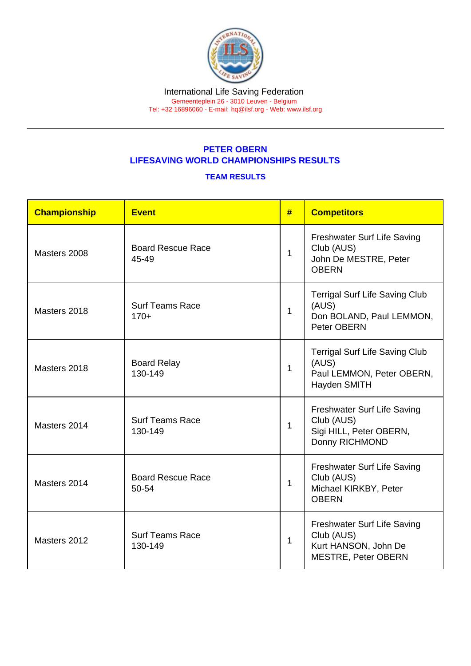### International Life Saving Federation Gemeenteplein 26 - 3010 Leuven - Belgium

Tel: +32 16896060 - E-mail: [hq@ilsf.org](mailto:hq@ilsf.org) - Web: [www.ilsf.org](https://www.ilsf.org)

# PETER OBERN LIFESAVING WORLD CHAMPIONSHIPS RESULTS

## TEAM RESULTS

| Championship | Event                             | # | <b>Competitors</b>                                                                              |
|--------------|-----------------------------------|---|-------------------------------------------------------------------------------------------------|
| Masters 2008 | <b>Board Rescue Race</b><br>45-49 | 1 | Freshwater Surf Life Saving<br>Club (AUS)<br>John De MESTRE, Peter<br><b>OBERN</b>              |
| Masters 2018 | <b>Surf Teams Race</b><br>$170+$  | 1 | <b>Terrigal Surf Life Saving Club</b><br>(AUS)<br>Don BOLAND, Paul LEMMON,<br>Peter OBERN       |
| Masters 2018 | <b>Board Relay</b><br>130-149     | 1 | <b>Terrigal Surf Life Saving Club</b><br>(AUS)<br>Paul LEMMON, Peter OBERN,<br>Hayden SMITH     |
| Masters 2014 | <b>Surf Teams Race</b><br>130-149 | 1 | Freshwater Surf Life Saving<br>Club (AUS)<br>Sigi HILL, Peter OBERN,<br>Donny RICHMOND          |
| Masters 2014 | <b>Board Rescue Race</b><br>50-54 | 1 | Freshwater Surf Life Saving<br>Club (AUS)<br>Michael KIRKBY, Peter<br><b>OBERN</b>              |
| Masters 2012 | <b>Surf Teams Race</b><br>130-149 | 1 | Freshwater Surf Life Saving<br>Club (AUS)<br>Kurt HANSON, John De<br><b>MESTRE, Peter OBERN</b> |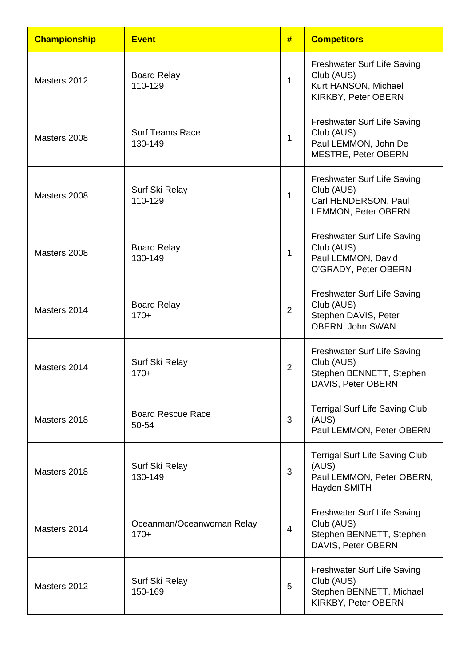| <b>Championship</b> | <b>Event</b>                        | #              | <b>Competitors</b>                                                                                     |
|---------------------|-------------------------------------|----------------|--------------------------------------------------------------------------------------------------------|
| Masters 2012        | <b>Board Relay</b><br>110-129       | 1              | <b>Freshwater Surf Life Saving</b><br>Club (AUS)<br>Kurt HANSON, Michael<br>KIRKBY, Peter OBERN        |
| Masters 2008        | <b>Surf Teams Race</b><br>130-149   | $\mathbf{1}$   | <b>Freshwater Surf Life Saving</b><br>Club (AUS)<br>Paul LEMMON, John De<br><b>MESTRE, Peter OBERN</b> |
| Masters 2008        | Surf Ski Relay<br>110-129           | 1              | <b>Freshwater Surf Life Saving</b><br>Club (AUS)<br>Carl HENDERSON, Paul<br><b>LEMMON, Peter OBERN</b> |
| Masters 2008        | <b>Board Relay</b><br>130-149       | 1              | <b>Freshwater Surf Life Saving</b><br>Club (AUS)<br>Paul LEMMON, David<br>O'GRADY, Peter OBERN         |
| Masters 2014        | <b>Board Relay</b><br>$170+$        | $\overline{2}$ | <b>Freshwater Surf Life Saving</b><br>Club (AUS)<br>Stephen DAVIS, Peter<br>OBERN, John SWAN           |
| Masters 2014        | Surf Ski Relay<br>$170+$            | 2              | <b>Freshwater Surf Life Saving</b><br>Club (AUS)<br>Stephen BENNETT, Stephen<br>DAVIS, Peter OBERN     |
| Masters 2018        | <b>Board Rescue Race</b><br>50-54   | 3              | <b>Terrigal Surf Life Saving Club</b><br>(AUS)<br>Paul LEMMON, Peter OBERN                             |
| Masters 2018        | Surf Ski Relay<br>130-149           | 3              | <b>Terrigal Surf Life Saving Club</b><br>(AUS)<br>Paul LEMMON, Peter OBERN,<br><b>Hayden SMITH</b>     |
| Masters 2014        | Oceanman/Oceanwoman Relay<br>$170+$ | $\overline{4}$ | <b>Freshwater Surf Life Saving</b><br>Club (AUS)<br>Stephen BENNETT, Stephen<br>DAVIS, Peter OBERN     |
| Masters 2012        | Surf Ski Relay<br>150-169           | 5              | <b>Freshwater Surf Life Saving</b><br>Club (AUS)<br>Stephen BENNETT, Michael<br>KIRKBY, Peter OBERN    |